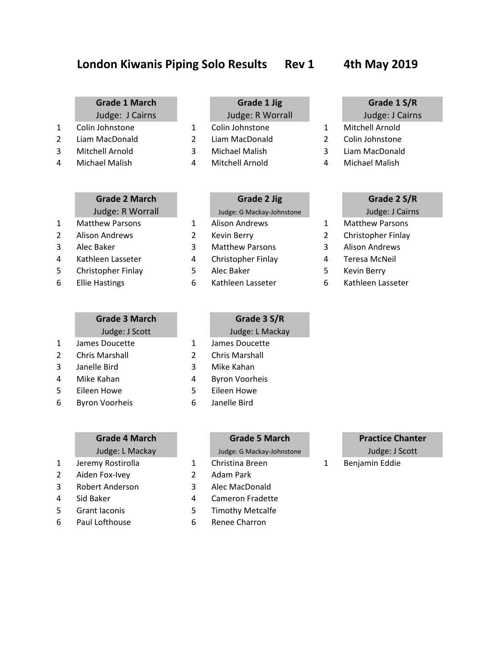# London Kiwanis Piping Solo Results Rev 1 4th May 2019

- Colin Johnstone 1 Colin Johnstone 1 Mitchell Arnold
- Liam MacDonald 2 Liam MacDonald 2 Colin Johnstone
- 
- 

- 
- 
- 
- 
- 
- 

# **Grade 3 March Grade 3 S/R**

- 
- 
- 
- 
- 
- Byron Voorheis 6 Janelle Bird

- 
- Aiden Fox-Ivey 2 Adam Park
- Robert Anderson 3 Alec MacDonald
- 4 Sid Baker 1 and 4 Cameron Fradette
- Grant Iaconis 5 Timothy Metcalfe
- Paul Lofthouse 6 Renee Charron

## **Grade 1 March Grade 1 Jig Grade 1 S/R**

- 
- 
- 
- 

# **Grade 2 March Grade 2 Jig Grade 2 S/R** Judge: R Worrall Judge: G Mackay-Johnstone Judge: J Cairns

- 
- 
- 
- 

## Judge: J Scott Judge: L Mackay

- James Doucette 1 James Doucette
- Chris Marshall 2 Chris Marshall
- Janelle Bird 3 Mike Kahan
- Mike Kahan 4 Byron Voorheis
- Eileen Howe 5 Eileen Howe
	-

# **Grade 4 March Grade 5 March Practice Chanter** Judge: L Mackay Judge: G Mackay-Johnstone Judge: J Scott 1 Jeremy Rostirolla 1 Christina Breen 1 Benjamin Eddie

- 
- 
- 
- 
- 

- Judge: J Cairns Judge: R Worrall Judge: J Cairns
	-
	-
- Mitchell Arnold 3 Michael Malish 3 Liam MacDonald
- Michael Malish 4 Mitchell Arnold 4 Michael Malish

- 
- Matthew Parsons 1 Alison Andrews 1 Matthew Parsons
- Alison Andrews 2 Kevin Berry 2 Christopher Finlay
	-
	-
	-
	-